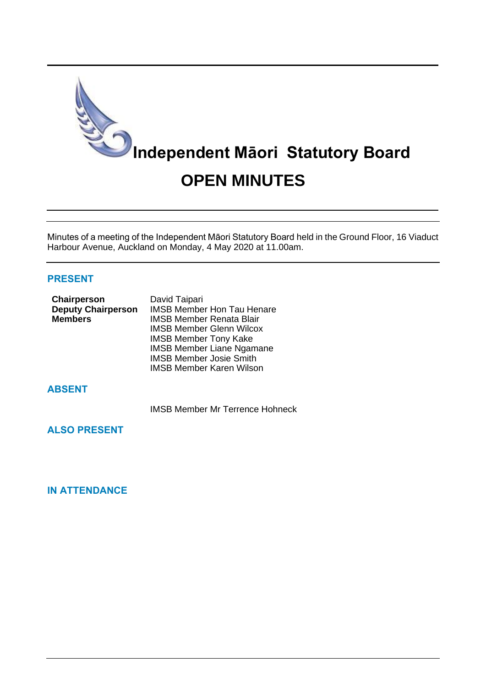

Minutes of a meeting of the Independent Māori Statutory Board held in the Ground Floor, 16 Viaduct Harbour Avenue, Auckland on Monday, 4 May 2020 at 11.00am.

# **PRESENT**

| Chairperson               | David Taipari                     |
|---------------------------|-----------------------------------|
| <b>Deputy Chairperson</b> | <b>IMSB Member Hon Tau Henare</b> |
| <b>Members</b>            | <b>IMSB Member Renata Blair</b>   |
|                           | <b>IMSB Member Glenn Wilcox</b>   |
|                           | <b>IMSB Member Tony Kake</b>      |
|                           | <b>IMSB Member Liane Ngamane</b>  |
|                           | <b>IMSB Member Josie Smith</b>    |
|                           | <b>IMSB Member Karen Wilson</b>   |

# **ABSENT**

IMSB Member Mr Terrence Hohneck

**ALSO PRESENT**

# **IN ATTENDANCE**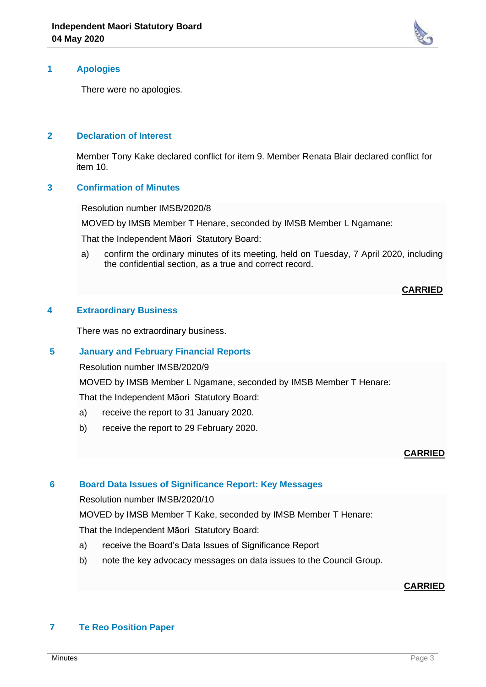

# **1 Apologies**

There were no apologies.

## **2 Declaration of Interest**

Member Tony Kake declared conflict for item 9. Member Renata Blair declared conflict for item 10.

## **3 Confirmation of Minutes**

Resolution number IMSB/2020/8

MOVED by IMSB Member T Henare, seconded by IMSB Member L Ngamane:

That the Independent Māori Statutory Board:

a) confirm the ordinary minutes of its meeting, held on Tuesday, 7 April 2020, including the confidential section, as a true and correct record.

## **CARRIED**

# **4 Extraordinary Business**

There was no extraordinary business.

#### **5 January and February Financial Reports**

Resolution number IMSB/2020/9

MOVED by IMSB Member L Ngamane, seconded by IMSB Member T Henare:

That the Independent Māori Statutory Board:

- a) receive the report to 31 January 2020.
- b) receive the report to 29 February 2020.

# **CARRIED**

# **6 Board Data Issues of Significance Report: Key Messages**

Resolution number IMSB/2020/10

MOVED by IMSB Member T Kake, seconded by IMSB Member T Henare:

That the Independent Māori Statutory Board:

- a) receive the Board's Data Issues of Significance Report
- b) note the key advocacy messages on data issues to the Council Group.

# **CARRIED**

# **7 Te Reo Position Paper**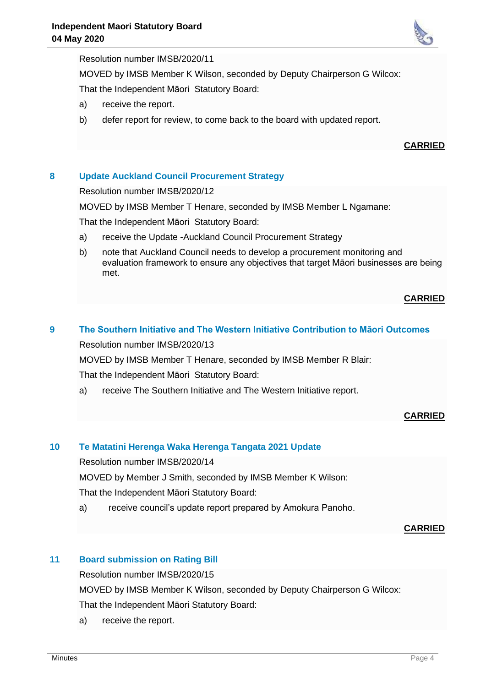

## Resolution number IMSB/2020/11

MOVED by IMSB Member K Wilson, seconded by Deputy Chairperson G Wilcox:

That the Independent Māori Statutory Board:

- a) receive the report.
- b) defer report for review, to come back to the board with updated report.

## **CARRIED**

# **8 Update Auckland Council Procurement Strategy**

Resolution number IMSB/2020/12

MOVED by IMSB Member T Henare, seconded by IMSB Member L Ngamane:

That the Independent Māori Statutory Board:

- a) receive the Update -Auckland Council Procurement Strategy
- b) note that Auckland Council needs to develop a procurement monitoring and evaluation framework to ensure any objectives that target Māori businesses are being met.

# **CARRIED**

# **9 The Southern Initiative and The Western Initiative Contribution to Māori Outcomes**

Resolution number IMSB/2020/13

MOVED by IMSB Member T Henare, seconded by IMSB Member R Blair: That the Independent Māori Statutory Board:

a) receive The Southern Initiative and The Western Initiative report.

# **CARRIED**

# **10 Te Matatini Herenga Waka Herenga Tangata 2021 Update**

Resolution number IMSB/2020/14

MOVED by Member J Smith, seconded by IMSB Member K Wilson:

That the Independent Māori Statutory Board:

a) receive council's update report prepared by Amokura Panoho.

#### **CARRIED**

# **11 Board submission on Rating Bill**

Resolution number IMSB/2020/15

MOVED by IMSB Member K Wilson, seconded by Deputy Chairperson G Wilcox: That the Independent Māori Statutory Board:

a) receive the report.